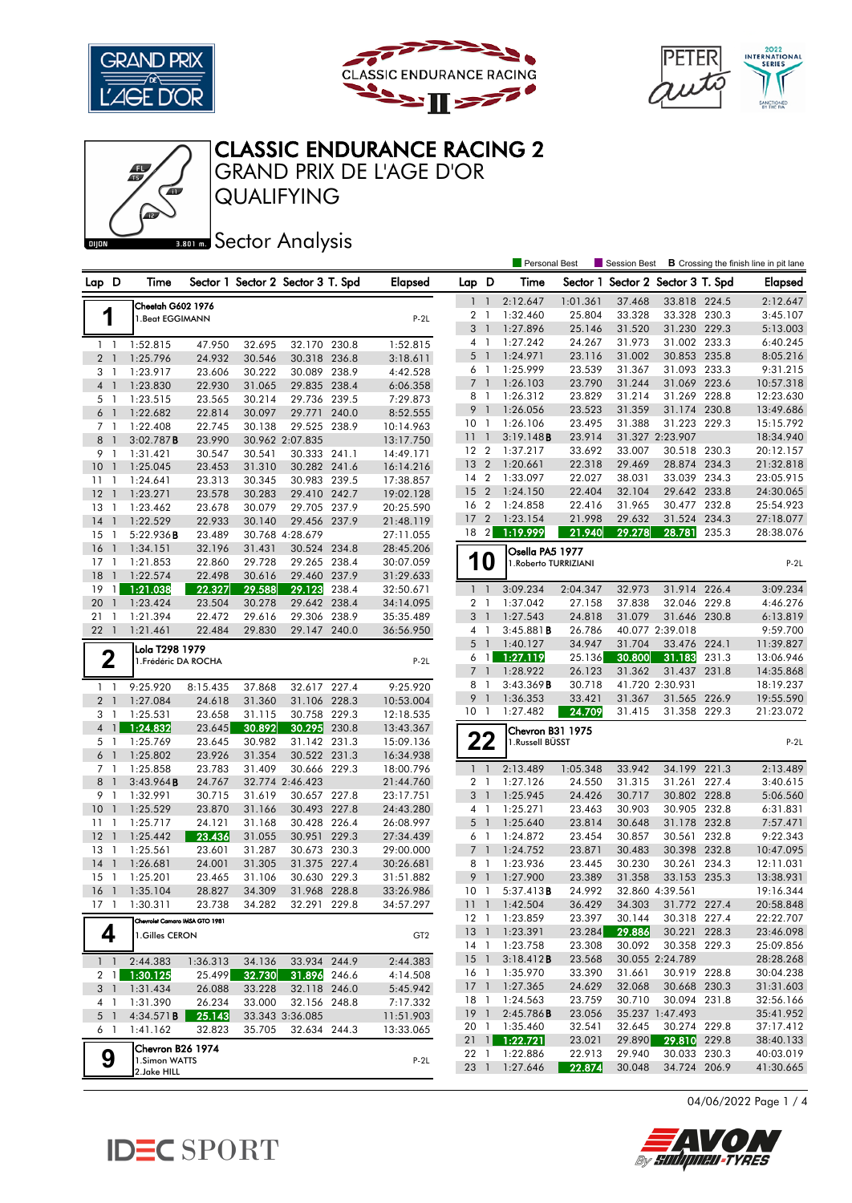





## GRAND PRIX DE L'AGE D'OR CLASSIC ENDURANCE RACING 2

Œ

**BRONES** Sector Analysis

QUALIFYING

|                                |                                |                  |                  |                                   |       |                        |                     |                                | <b>Personal Best</b>        |                  | <b>Session Best</b>      |                                 |       | <b>B</b> Crossing the finish line in pit lane |
|--------------------------------|--------------------------------|------------------|------------------|-----------------------------------|-------|------------------------|---------------------|--------------------------------|-----------------------------|------------------|--------------------------|---------------------------------|-------|-----------------------------------------------|
| Lap D                          | Time                           |                  |                  | Sector 1 Sector 2 Sector 3 T. Spd |       | <b>Elapsed</b>         | Lap D               |                                | Time                        | Sector 1         | Sector 2 Sector 3 T. Spd |                                 |       | <b>Elapsed</b>                                |
|                                | Cheetah G602 1976              |                  |                  |                                   |       |                        | 1                   | $\overline{1}$                 | 2:12.647                    | 1:01.361         | 37.468                   | 33.818 224.5                    |       | 2:12.647                                      |
| 1                              | 1. Beat EGGIMANN               |                  |                  |                                   |       | $P-2L$                 | 2 <sub>1</sub>      |                                | 1:32.460                    | 25.804           | 33.328                   | 33.328 230.3                    |       | 3:45.107                                      |
|                                |                                |                  |                  |                                   |       |                        | 3                   | $\overline{\phantom{a}}$       | 1:27.896                    | 25.146           | 31.520                   | 31.230 229.3                    |       | 5:13.003                                      |
| $1\quad$                       | 1:52.815                       | 47.950           | 32.695           | 32.170 230.8                      |       | 1:52.815               | 4                   | -1                             | 1:27.242                    | 24.267           | 31.973                   | 31.002 233.3                    |       | 6:40.245                                      |
| 2 <sub>1</sub>                 | 1:25.796                       | 24.932           | 30.546           | 30.318 236.8                      |       | 3:18.611               | 5                   | $\overline{1}$                 | 1:24.971                    | 23.116           | 31.002                   | 30.853 235.8                    |       | 8:05.216                                      |
| 3 1                            | 1:23.917                       | 23.606           | 30.222           | 30.089 238.9                      |       | 4:42.528               | 6 1                 |                                | 1:25.999                    | 23.539           | 31.367                   | 31.093 233.3                    |       | 9:31.215                                      |
| 4 <sup>1</sup>                 | 1:23.830                       | 22.930           | 31.065           | 29.835 238.4                      |       | 6:06.358               | $\overline{7}$      | $\overline{1}$                 | 1:26.103                    | 23.790           | 31.244                   | 31.069 223.6                    |       | 10:57.318                                     |
| 5 1                            | 1:23.515                       | 23.565           | 30.214           | 29.736 239.5                      |       | 7:29.873               | 8                   | $\overline{1}$                 | 1:26.312                    | 23.829           | 31.214                   | 31.269                          | 228.8 | 12:23.630                                     |
| 6 1                            | 1:22.682                       | 22.814           | 30.097           | 29.771                            | 240.0 | 8:52.555               | 9                   | $\mathbf{1}$                   | 1:26.056                    | 23.523           | 31.359                   | 31.174 230.8                    |       | 13:49.686                                     |
| 7 1                            | 1:22.408                       | 22.745           | 30.138           | 29.525 238.9                      |       | 10:14.963              | 10 <sub>1</sub>     |                                | 1:26.106                    | 23.495           | 31.388                   | 31.223 229.3                    |       | 15:15.792                                     |
| 8<br>$\mathbf{1}$              | 3:02.787B                      | 23.990           |                  | 30.962 2:07.835                   |       | 13:17.750              | 11                  | $\overline{1}$                 | 3:19.148B                   | 23.914           |                          | 31.327 2:23.907                 |       | 18:34.940                                     |
| 9<br>$\mathbf{1}$              | 1:31.421                       | 30.547           | 30.541           | 30.333 241.1                      |       | 14:49.171              | 12 <sub>2</sub>     |                                | 1:37.217                    | 33.692           | 33.007                   | 30.518 230.3                    |       | 20:12.157                                     |
| 10<br>$\bigcirc$               | 1:25.045                       | 23.453           | 31.310           | 30.282 241.6                      |       | 16:14.216              | 13                  | $\overline{2}$                 | 1:20.661                    | 22.318           | 29.469                   | 28.874                          | 234.3 | 21:32.818                                     |
| 11<br>$\overline{1}$           | 1:24.641                       | 23.313           | 30.345           | 30.983 239.5                      |       | 17:38.857              | 14 2                |                                | 1:33.097                    | 22.027           | 38.031                   | 33.039 234.3                    |       | 23:05.915                                     |
| 12<br>$\overline{1}$           | 1:23.271                       | 23.578           | 30.283           | 29.410 242.7                      |       | 19:02.128              | 15                  | $\overline{2}$                 | 1:24.150                    | 22.404           | 32.104                   | 29.642 233.8                    |       | 24:30.065                                     |
| 13<br>$\mathbf{1}$             | 1:23.462                       | 23.678           | 30.079           | 29.705 237.9                      |       | 20:25.590              | 16 2                |                                | 1:24.858                    | 22.416           | 31.965                   | 30.477 232.8                    |       | 25:54.923                                     |
| 14<br>$\mathbf{1}$             | 1:22.529                       | 22.933           | 30.140           | 29.456 237.9                      |       | 21:48.119              | 17                  | $\overline{2}$                 | 1:23.154                    | 21.998           | 29.632                   | 31.524 234.3                    |       | 27:18.077                                     |
| 15<br>1                        | 5:22.936B                      | 23.489           |                  | 30.768 4:28.679                   |       | 27:11.055              | 18 2                |                                | 1:19.999                    | 21.940           | 29.278                   | 28.781                          | 235.3 | 28:38.076                                     |
| 16<br>$\overline{1}$           | 1:34.151                       | 32.196           | 31.431           | 30.524 234.8                      |       | 28:45.206              |                     |                                | Osella PA5 1977             |                  |                          |                                 |       |                                               |
| $17-1$                         | 1:21.853                       | 22.860           | 29.728           | 29.265 238.4                      |       | 30:07.059              |                     | <b>10</b>                      | 1.Roberto TURRIZIANI        |                  |                          |                                 |       | $P-2L$                                        |
| 18<br>$\mathbf{1}$             | 1:22.574                       | 22.498           | 30.616           | 29.460 237.9                      |       | 31:29.633              |                     |                                |                             |                  |                          |                                 |       |                                               |
| 19<br>1                        | 1:21.038                       | 22.327           | 29.588           | 29.123                            | 238.4 | 32:50.671              | $1\quad$            |                                | 3:09.234                    | 2:04.347         | 32.973                   | 31.914 226.4                    |       | 3:09.234                                      |
| 20<br>$\mathbf{1}$             | 1:23.424                       | 23.504           | 30.278           | 29.642                            | 238.4 | 34:14.095              | 2 <sub>1</sub>      |                                | 1:37.042                    | 27.158           | 37.838                   | 32.046 229.8                    |       | 4:46.276                                      |
| 21<br>1                        | 1:21.394                       | 22.472           | 29.616           | 29.306                            | 238.9 | 35:35.489              | 3 <sup>1</sup>      |                                | 1:27.543                    | 24.818           | 31.079                   | 31.646 230.8                    |       | 6:13.819                                      |
| 221                            | 1:21.461                       | 22.484           | 29.830           | 29.147 240.0                      |       | 36:56.950              | $4-1$               |                                | $3:45.881$ <b>B</b>         | 26.786           |                          | 40.077 2:39.018                 |       | 9:59.700                                      |
|                                | Lola T298 1979                 |                  |                  |                                   |       |                        | 5                   | $\overline{1}$                 | 1:40.127                    | 34.947           | 31.704                   | 33.476                          | 224.1 | 11:39.827                                     |
| 2                              | 1. Frédéric DA ROCHA           |                  |                  |                                   |       | $P-2L$                 |                     | 6 1                            | 1:27.119                    | 25.136           | 30.800                   | 31.183                          | 231.3 | 13:06.946                                     |
|                                |                                |                  |                  |                                   |       |                        | $\overline{7}$      | $\mathbf{1}$<br>$\overline{1}$ | 1:28.922<br>3:43.369B       | 26.123<br>30.718 | 31.362                   | 31.437                          | 231.8 | 14:35.868                                     |
| $1\quad$                       | 9:25.920                       | 8:15.435         | 37.868           | 32.617 227.4                      |       | 9:25.920               | 8<br>9 <sub>1</sub> |                                | 1:36.353                    | 33.421           | 31.367                   | 41.720 2:30.931<br>31.565 226.9 |       | 18:19.237<br>19:55.590                        |
| 2 <sub>1</sub>                 | 1:27.084                       | 24.618           | 31.360           | 31.106 228.3                      |       | 10:53.004              | 10 <sub>1</sub>     |                                | 1:27.482                    | 24.709           | 31.415                   | 31.358 229.3                    |       | 21:23.072                                     |
| 3 1                            | 1:25.531                       | 23.658           | 31.115           | 30.758 229.3                      |       | 12:18.535              |                     |                                |                             |                  |                          |                                 |       |                                               |
| $\mathbf{1}$<br>$\overline{4}$ | 1:24.832                       | 23.645           | 30.892           | 30.295                            | 230.8 | 13:43.367              |                     |                                | Chevron B31 1975            |                  |                          |                                 |       |                                               |
| 5 1                            | 1:25.769                       | 23.645           | 30.982<br>31.354 | 31.142 231.3<br>30.522 231.3      |       | 15:09.136              |                     | 22                             | 1.Russell BÜSST             |                  |                          |                                 |       | $P-2L$                                        |
| 6 1<br>7 <sub>1</sub>          | 1:25.802<br>1:25.858           | 23.926<br>23.783 | 31.409           | 30.666 229.3                      |       | 16:34.938<br>18:00.796 | $1\quad$            |                                | 2:13.489                    | 1:05.348         | 33.942                   | 34.199                          | 221.3 | 2:13.489                                      |
| 8<br>$\mathbf{1}$              | 3:43.964B                      | 24.767           |                  | 32.774 2:46.423                   |       | 21:44.760              | $\overline{a}$      | - 1                            | 1:27.126                    | 24.550           | 31.315                   | 31.261                          | 227.4 | 3:40.615                                      |
| 9<br>$\overline{1}$            | 1:32.991                       | 30.715           | 31.619           | 30.657 227.8                      |       | 23:17.751              | 3 <sup>1</sup>      |                                | 1:25.945                    | 24.426           | 30.717                   | 30.802 228.8                    |       | 5:06.560                                      |
| 10<br>$\mathbf{1}$             | 1:25.529                       | 23.870           | 31.166           | 30.493 227.8                      |       | 24:43.280              | $4-1$               |                                | 1:25.271                    | 23.463           | 30.903                   | 30.905 232.8                    |       | 6:31.831                                      |
| 11<br>1                        | 1:25.717                       | 24.121           | 31.168           | 30.428 226.4                      |       | 26:08.997              | $5-1$               |                                | 1:25.640                    | 23.814           | 30.648                   | 31.178 232.8                    |       | 7:57.471                                      |
| 12<br>$\overline{1}$           | 1:25.442                       | 23.436           | 31.055           | 30.951 229.3                      |       | 27:34.439              | 6 1                 |                                | 1:24.872                    | 23.454           | 30.857                   | 30.561 232.8                    |       | 9:22.343                                      |
| 13<br>$\overline{1}$           | 1:25.561                       | 23.601           | 31.287           | 30.673 230.3                      |       | 29:00.000              | $\overline{7}$      | $\overline{1}$                 | 1:24.752                    | 23.871           | 30.483                   | 30.398                          | 232.8 | 10:47.095                                     |
| 14<br>$\mathbf{1}$             | 1:26.681                       | 24.001           | 31.305           | 31.375 227.4                      |       | 30:26.681              | 8 1                 |                                | 1:23.936                    | 23.445           | 30.230                   | 30.261 234.3                    |       | 12:11.031                                     |
| 15<br>-1                       | 1:25.201                       | 23.465           | 31.106           | 30.630                            | 229.3 | 31:51.882              | 9                   | $\mathbf{1}$                   | 1:27.900                    | 23.389           | 31.358                   | 33.153 235.3                    |       | 13:38.931                                     |
| 16<br>$\overline{1}$           | 1:35.104                       | 28.827           | 34.309           | 31.968 228.8                      |       | 33:26.986              | 10                  | $\mathbf{1}$                   | 5:37.413B                   | 24.992           |                          | 32.860 4:39.561                 |       | 19:16.344                                     |
| 17 1                           | 1:30.311                       | 23.738           | 34.282           | 32.291 229.8                      |       | 34:57.297              |                     |                                | $11 \quad 1 \quad 1:42.504$ | 36.429           | 34.303                   | 31.772 227.4                    |       | 20:58.848                                     |
|                                | Chevrolet Camaro IMSA GTO 1981 |                  |                  |                                   |       |                        |                     |                                | 12 1 1:23.859               | 23.397           | 30.144                   | 30.318 227.4                    |       | 22:22.707                                     |
| 4                              | 1.Gilles CERON                 |                  |                  |                                   |       | GT <sub>2</sub>        |                     |                                | 13 1 1:23.391               | 23.284           | 29.886                   | 30.221 228.3                    |       | 23:46.098                                     |
|                                |                                |                  |                  |                                   |       |                        |                     |                                | 14 1 1:23.758               | 23.308           | 30.092                   | 30.358 229.3                    |       | 25:09.856                                     |
|                                | $1 \quad 1 \quad 2:44.383$     | 1:36.313         | 34.136           | 33.934 244.9                      |       | 2:44.383               | $15 \quad 1$        |                                | 3:18.412B                   | 23.568           |                          | 30.055 2:24.789                 |       | 28:28.268                                     |
| 2 I                            | 1:30.125                       | 25.499           | 32.730           | 31.896 246.6                      |       | 4:14.508               | 16 1                |                                | 1:35.970                    | 33.390           | 31.661                   | 30.919 228.8                    |       | 30:04.238                                     |
| 3 <sup>1</sup>                 | 1:31.434                       | 26.088           | 33.228           | 32.118 246.0                      |       | 5:45.942               |                     |                                | 17 1 1:27.365               | 24.629           | 32.068                   | 30.668 230.3                    |       | 31:31.603                                     |
| 41                             | 1:31.390                       | 26.234           | 33.000           | 32.156 248.8                      |       | 7:17.332               |                     |                                | 18 1 1:24.563               | 23.759           | 30.710                   | 30.094 231.8                    |       | 32:56.166                                     |
| $5-1$                          | 4:34.571B                      | 25.143           |                  | 33.343 3:36.085                   |       | 11:51.903              | $19-1$              |                                | 2:45.786B                   | 23.056           |                          | 35.237 1:47.493                 |       | 35:41.952                                     |
| 61                             | 1:41.162                       | 32.823           | 35.705           | 32.634 244.3                      |       | 13:33.065              |                     |                                | 20 1 1:35.460               | 32.541           | 32.645                   | 30.274 229.8                    |       | 37:17.412                                     |
|                                | Chevron B26 1974               |                  |                  |                                   |       |                        | $21 \quad 1$        |                                | 1:22.721                    | 23.021           | 29.890                   | 29.810 229.8                    |       | 38:40.133                                     |
| 9                              | 1.Simon WATTS                  |                  |                  |                                   |       | $P-2L$                 | 22 1                |                                | 1:22.886                    | 22.913           | 29.940                   | 30.033 230.3                    |       | 40:03.019                                     |
|                                | 2.Jake HILL                    |                  |                  |                                   |       |                        |                     |                                | 23 1 1:27.646               | 22.874           | 30.048                   | 34.724 206.9                    |       | 41:30.665                                     |

04/06/2022 Page 1 / 4



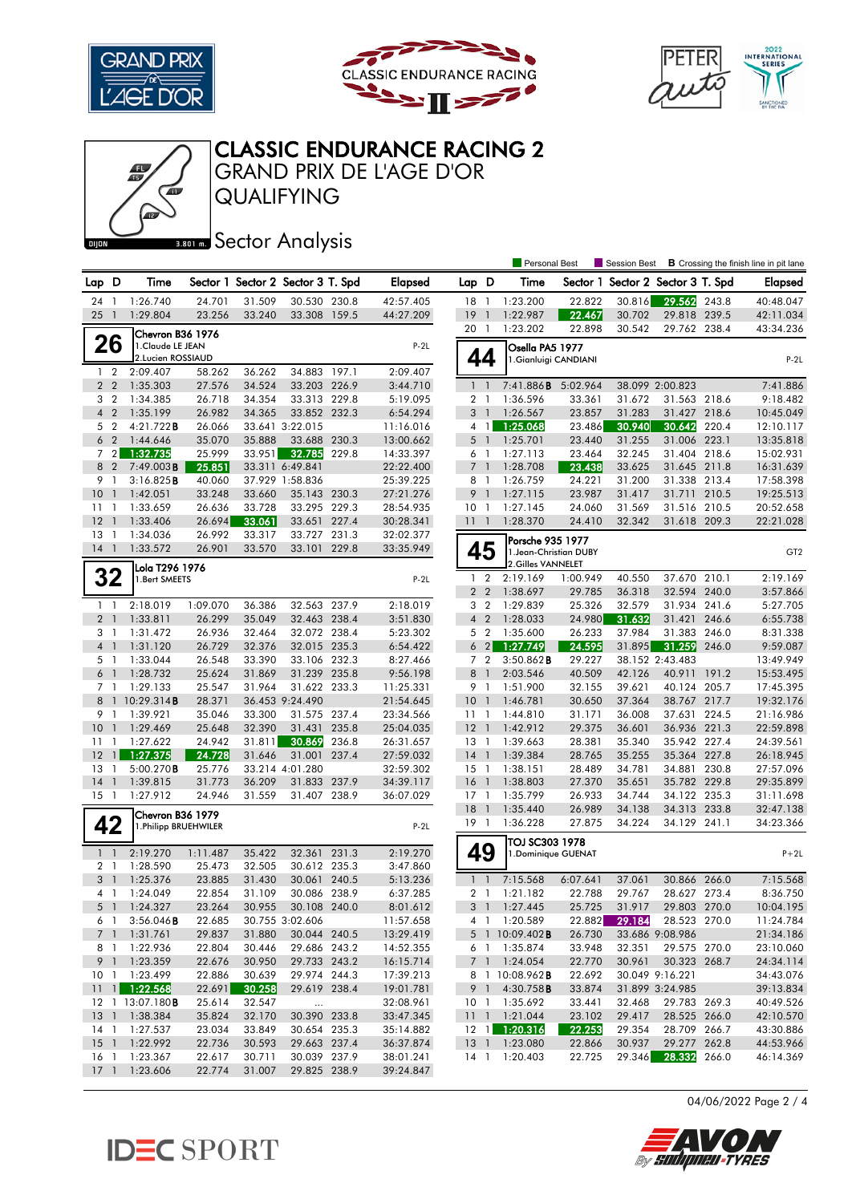





## GRAND PRIX DE L'AGE D'OR CLASSIC ENDURANCE RACING 2

QUALIFYING

**BRONES** Sector Analysis

|                 |                                  |                               |                  |                  |                                    |       |                        |                     |                | <b>Personal Best</b>                       |                  | <b>Session Best</b> |                                 |       | <b>B</b> Crossing the finish line in pit lane |
|-----------------|----------------------------------|-------------------------------|------------------|------------------|------------------------------------|-------|------------------------|---------------------|----------------|--------------------------------------------|------------------|---------------------|---------------------------------|-------|-----------------------------------------------|
| Lap D           |                                  | Time                          |                  |                  | Sector 1 Sector 2 Sector 3 T. Spd  |       | <b>Elapsed</b>         | Lap D               |                | Time                                       | Sector 1         |                     | Sector 2 Sector 3 T. Spd        |       | <b>Elapsed</b>                                |
| 24              | -1                               | 1:26.740                      | 24.701           | 31.509           | 30.530 230.8                       |       | 42:57.405              | 18                  | $\overline{1}$ | 1:23.200                                   | 22.822           | 30.816              | 29.562                          | 243.8 | 40:48.047                                     |
| 25              | $\overline{1}$                   | 1:29.804                      | 23.256           | 33.240           | 33.308 159.5                       |       | 44:27.209              | 19                  | $\mathbf{1}$   | 1:22.987                                   | 22.467           | 30.702              | 29.818 239.5                    |       | 42:11.034                                     |
|                 |                                  | Chevron B36 1976              |                  |                  |                                    |       |                        | 20 1                |                | 1:23.202                                   | 22.898           | 30.542              | 29.762 238.4                    |       | 43:34.236                                     |
|                 | 26                               | 1.Claude LE JEAN              |                  |                  |                                    |       | $P-2L$                 |                     |                | Osella PA5 1977                            |                  |                     |                                 |       |                                               |
|                 |                                  | 2.Lucien ROSSIAUD             |                  |                  |                                    |       |                        | 44                  |                | 1.Gianluigi CANDIANI                       |                  |                     |                                 |       | $P-2L$                                        |
| $\mathbf{1}$    | $\overline{2}$                   | 2:09.407                      | 58.262           | 36.262           | 34.883                             | 197.1 | 2:09.407               |                     |                |                                            |                  |                     |                                 |       |                                               |
|                 | 2 <sub>2</sub>                   | 1:35.303                      | 27.576           | 34.524           | 33.203 226.9                       |       | 3:44.710               | 1 <sup>1</sup>      |                | 7:41.886B                                  | 5:02.964         |                     | 38.099 2:00.823                 |       | 7:41.886                                      |
|                 | 3 <sub>2</sub>                   | 1:34.385                      | 26.718           | 34.354           | 33.313 229.8                       |       | 5:19.095               | 2 <sub>1</sub>      |                | 1:36.596                                   | 33.361           | 31.672              | 31.563 218.6                    |       | 9:18.482                                      |
|                 | 4 <sub>2</sub>                   | 1:35.199                      | 26.982           | 34.365           | 33.852 232.3                       |       | 6:54.294               | 3                   | $\overline{1}$ | 1:26.567                                   | 23.857           | 31.283              | 31.427                          | 218.6 | 10:45.049                                     |
|                 | 5 <sub>2</sub>                   | 4:21.722B                     | 26.066           |                  | 33.641 3:22.015                    |       | 11:16.016              |                     | 41             | 1:25.068                                   | 23.486           | 30.940              | 30.642                          | 220.4 | 12:10.117                                     |
|                 | 6 <sub>2</sub>                   | 1:44.646                      | 35.070           | 35.888           | 33.688                             | 230.3 | 13:00.662              | $5-1$               |                | 1:25.701                                   | 23.440           | 31.255              | 31.006 223.1                    |       | 13:35.818                                     |
|                 | 72                               | 1:32.735                      | 25.999           | 33.951           | 32.785                             | 229.8 | 14:33.397              | 6                   | $\mathbf{1}$   | 1:27.113                                   | 23.464           | 32.245              | 31.404 218.6                    |       | 15:02.931                                     |
| 8<br>9          | $\overline{2}$<br>$\overline{1}$ | 7:49.003B<br>3:16.825B        | 25.851<br>40.060 |                  | 33.311 6:49.841<br>37.929 1:58.836 |       | 22:22.400<br>25:39.225 | 7 <sup>1</sup><br>8 | $\overline{1}$ | 1:28.708<br>1:26.759                       | 23.438<br>24.221 | 33.625<br>31.200    | 31.645 211.8<br>31.338 213.4    |       | 16:31.639<br>17:58.398                        |
| 10              | -1                               | 1:42.051                      | 33.248           | 33.660           | 35.143 230.3                       |       | 27:21.276              | 9                   | $\overline{1}$ | 1:27.115                                   | 23.987           | 31.417              | 31.711 210.5                    |       | 19:25.513                                     |
| 11              | $\overline{1}$                   | 1:33.659                      | 26.636           | 33.728           | 33.295 229.3                       |       | 28:54.935              | 10 <sub>1</sub>     |                | 1:27.145                                   | 24.060           | 31.569              | 31.516 210.5                    |       | 20:52.658                                     |
| 12              | $\overline{1}$                   | 1:33.406                      | 26.694           | 33.061           | 33.651 227.4                       |       | 30:28.341              | 11                  | $\overline{1}$ | 1:28.370                                   | 24.410           | 32.342              | 31.618 209.3                    |       | 22:21.028                                     |
| 13              | -1                               | 1:34.036                      | 26.992           | 33.317           | 33.727 231.3                       |       | 32:02.377              |                     |                |                                            |                  |                     |                                 |       |                                               |
| $14-1$          |                                  | 1:33.572                      | 26.901           | 33.570           | 33.101 229.8                       |       | 33:35.949              | 45                  |                | Porsche 935 1977<br>1. Jean-Christian DUBY |                  |                     |                                 |       | GT <sub>2</sub>                               |
|                 |                                  | Lola T296 1976                |                  |                  |                                    |       |                        |                     |                | 2.Gilles VANNELET                          |                  |                     |                                 |       |                                               |
|                 | 32                               | 1. Bert SMEETS                |                  |                  |                                    |       | $P-2L$                 | $\mathbf{1}$        | $\overline{2}$ | 2:19.169                                   | 1:00.949         | 40.550              | 37.670 210.1                    |       | 2:19.169                                      |
|                 |                                  |                               |                  |                  |                                    |       |                        | 2 <sub>2</sub>      |                | 1:38.697                                   | 29.785           | 36.318              | 32.594 240.0                    |       | 3:57.866                                      |
|                 | $1\quad$                         | 2:18.019                      | 1:09.070         | 36.386           | 32.563 237.9                       |       | 2:18.019               | 3 <sub>2</sub>      |                | 1:29.839                                   | 25.326           | 32.579              | 31.934 241.6                    |       | 5:27.705                                      |
|                 | 2 <sub>1</sub>                   | 1:33.811                      | 26.299           | 35.049           | 32.463 238.4                       |       | 3:51.830               | 4 <sup>2</sup>      |                | 1:28.033                                   | 24.980           | 31.632              | 31.421                          | 246.6 | 6:55.738                                      |
|                 | 3 1                              | 1:31.472                      | 26.936           | 32.464           | 32.072 238.4                       |       | 5:23.302               | 5 <sub>2</sub>      |                | 1:35.600                                   | 26.233           | 37.984              | 31.383 246.0                    |       | 8:31.338                                      |
|                 | 4 <sub>1</sub>                   | 1:31.120                      | 26.729           | 32.376           | 32.015 235.3                       |       | 6:54.422               |                     | $6\quad2$      | 1:27.749                                   | 24.595           | 31.895              | 31.259                          | 246.0 | 9:59.087                                      |
|                 | 5 <sub>1</sub>                   | 1:33.044                      | 26.548           | 33.390           | 33.106 232.3                       |       | 8:27.466               | 7 <sup>2</sup>      |                | 3:50.862B                                  | 29.227           |                     | 38.152 2:43.483                 |       | 13:49.949                                     |
|                 | 6 1                              | 1:28.732                      | 25.624           | 31.869           | 31.239 235.8                       |       | 9:56.198               | 8                   | $\overline{1}$ | 2:03.546                                   | 40.509           | 42.126              | 40.911                          | 191.2 | 15:53.495                                     |
|                 | 7 <sub>1</sub>                   | 1:29.133                      | 25.547           | 31.964           | 31.622 233.3                       |       | 11:25.331              | 9                   | $\overline{1}$ | 1:51.900                                   | 32.155           | 39.621              | 40.124                          | 205.7 | 17:45.395                                     |
|                 |                                  | 8 1 10:29.314 <b>B</b>        | 28.371           |                  | 36.453 9:24.490                    |       | 21:54.645              | 10 <sub>1</sub>     |                | 1:46.781                                   | 30.650           | 37.364              | 38.767 217.7                    |       | 19:32.176                                     |
| 10              | 9 1<br>$\mathbf{1}$              | 1:39.921<br>1:29.469          | 35.046<br>25.648 | 33.300<br>32.390 | 31.575 237.4<br>31.431             | 235.8 | 23:34.566              | $11-1$<br>12        | $\overline{1}$ | 1:44.810<br>1:42.912                       | 31.171<br>29.375 | 36.008              | 37.631<br>36.936 221.3          | 224.5 | 21:16.986<br>22:59.898                        |
| 11              | -1                               | 1:27.622                      | 24.942           | 31.811           | 30.869                             | 236.8 | 25:04.035<br>26:31.657 | $13-1$              |                | 1:39.663                                   | 28.381           | 36.601<br>35.340    | 35.942 227.4                    |       | 24:39.561                                     |
| 12              | $\overline{1}$                   | 1:27.375                      | 24.728           | 31.646           | 31.001                             | 237.4 | 27:59.032              | $14-1$              |                | 1:39.384                                   | 28.765           | 35.255              | 35.364 227.8                    |       | 26:18.945                                     |
| 13              | $\overline{1}$                   | 5:00.270B                     | 25.776           |                  | 33.214 4:01.280                    |       | 32:59.302              | $15-1$              |                | 1:38.151                                   | 28.489           | 34.781              | 34.881 230.8                    |       | 27:57.096                                     |
| 14              | $\mathbf{1}$                     | 1:39.815                      | 31.773           | 36.209           | 31.833                             | 237.9 | 34:39.117              | 16                  | $\overline{1}$ | 1:38.803                                   | 27.370           | 35.651              | 35.782 229.8                    |       | 29:35.899                                     |
| $15-1$          |                                  | 1:27.912                      | 24.946           | 31.559           | 31.407 238.9                       |       | 36:07.029              | $17-1$              |                | 1:35.799                                   | 26.933           | 34.744              | 34.122 235.3                    |       | 31:11.698                                     |
|                 |                                  | Chevron B36 1979              |                  |                  |                                    |       |                        | $18-1$              |                | 1:35.440                                   | 26.989           | 34.138              | 34.313 233.8                    |       | 32:47.138                                     |
|                 | 42                               | 1. Philipp BRUEHWILER         |                  |                  |                                    |       | $P-2L$                 | $19-1$              |                | 1:36.228                                   | 27.875           | 34.224              | 34.129 241.1                    |       | 34:23.366                                     |
|                 |                                  |                               |                  |                  |                                    |       |                        |                     |                | TOJ SC303 1978                             |                  |                     |                                 |       |                                               |
|                 | $1\quad$                         | 2:19.270                      | 1:11.487         | 35.422           | 32.361 231.3                       |       | 2:19.270               | 49                  |                | 1. Dominique GUENAT                        |                  |                     |                                 |       | $P+2L$                                        |
|                 | 2 <sub>1</sub>                   | 1:28.590                      | 25.473           | 32.505           | 30.612 235.3                       |       | 3:47.860               |                     |                |                                            |                  |                     |                                 |       |                                               |
|                 | 3 <sub>1</sub>                   | 1:25.376                      | 23.885           | 31.430           | 30.061 240.5                       |       | 5:13.236               | $1\quad$            |                | 7:15.568                                   | 6:07.641         | 37.061              | 30.866 266.0                    |       | 7:15.568                                      |
|                 | 41                               | 1:24.049                      | 22.854           | 31.109           | 30.086 238.9                       |       | 6:37.285               | $\overline{2}$      | $\overline{1}$ | 1:21.182                                   | 22.788           | 29.767              | 28.627 273.4                    |       | 8:36.750                                      |
|                 |                                  | 5 1 1:24.327                  | 23.264           | 30.955           | 30.108 240.0                       |       | 8:01.612               |                     |                | 3 1 1:27.445                               | 25.725           | 31.917              | 29.803 270.0                    |       | 10:04.195                                     |
|                 | 6 1                              | 3:56.046B                     | 22.685           |                  | 30.755 3:02.606                    |       | 11:57.658              |                     |                | 4 1 1:20.589                               | 22.882           | 29.184              | 28.523 270.0                    |       | 11:24.784                                     |
|                 |                                  | 7 1 1:31.761                  | 29.837           | 31.880           | 30.044 240.5                       |       | 13:29.419              |                     |                | 5 1 10:09.402B                             | 26.730           |                     | 33.686 9:08.986                 |       | 21:34.186                                     |
|                 | 81                               | 1:22.936                      | 22.804           | 30.446           | 29.686 243.2                       |       | 14:52.355              |                     |                | 6 1 1:35.874                               | 33.948           | 32.351              | 29.575 270.0                    |       | 23:10.060                                     |
|                 |                                  | 9 1 1:23.359<br>10 1 1:23.499 | 22.676<br>22.886 | 30.950           | 29.733 243.2<br>29.974 244.3       |       | 16:15.714<br>17:39.213 |                     |                | 7 1 1:24.054<br>8 1 10:08.962B             | 22.770<br>22.692 | 30.961              | 30.323 268.7<br>30.049 9:16.221 |       | 24:34.114                                     |
|                 |                                  | $11$ 1 1:22.568               | 22.691           | 30.639<br>30.258 | 29.619 238.4                       |       | 19:01.781              |                     | 9 1            | $4:30.758$ B                               | 33.874           |                     | 31.899 3:24.985                 |       | 34:43.076<br>39:13.834                        |
|                 |                                  | 12 1 13:07.180 <b>B</b>       | 25.614           | 32.547           | $\ldots$                           |       | 32:08.961              |                     |                | 10 1 1:35.692                              | 33.441           | 32.468              | 29.783 269.3                    |       | 40:49.526                                     |
|                 |                                  | 13 1 1:38.384                 | 35.824           | 32.170           | 30.390 233.8                       |       | 33:47.345              |                     |                | 11 1:21.044                                | 23.102           | 29.417              | 28.525 266.0                    |       | 42:10.570                                     |
|                 |                                  | 14 1 1:27.537                 | 23.034           | 33.849           | 30.654 235.3                       |       | 35:14.882              |                     |                | 12 1 1:20.316                              | 22.253           | 29.354              | 28.709 266.7                    |       | 43:30.886                                     |
| 15 <sub>1</sub> |                                  | 1:22.992                      | 22.736           | 30.593           | 29.663 237.4                       |       | 36:37.874              |                     |                | 13 1 1:23.080                              | 22.866           | 30.937              | 29.277 262.8                    |       | 44:53.966                                     |
| 16 <sub>1</sub> |                                  | 1:23.367                      | 22.617           | 30.711           | 30.039 237.9                       |       | 38:01.241              |                     |                | 14 1 1:20.403                              | 22.725           | 29.346              | 28.332 266.0                    |       | 46:14.369                                     |
|                 |                                  | 17 1 1:23.606                 | 22.774           | 31.007           | 29.825 238.9                       |       | 39:24.847              |                     |                |                                            |                  |                     |                                 |       |                                               |

04/06/2022 Page 2 / 4



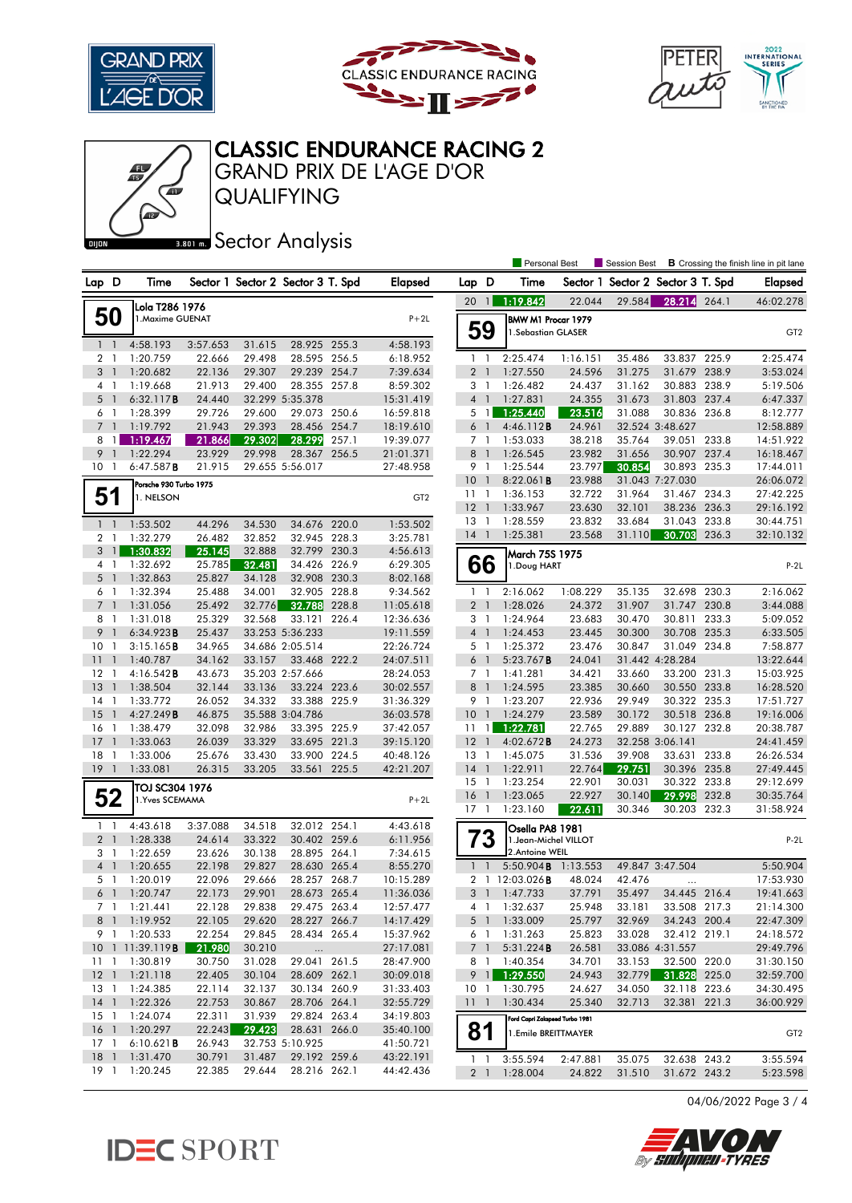





## GRAND PRIX DE L'AGE D'OR CLASSIC ENDURANCE RACING 2

QUALIFYING

**BRONES** Sector Analysis

|                                   |                         |                  |                  |                                   |       |                        |                                  |                | <b>Personal Best</b>           |                    | <b>B</b> Crossing the finish line in pit lane<br><b>Session Best</b> |                              |       |                      |
|-----------------------------------|-------------------------|------------------|------------------|-----------------------------------|-------|------------------------|----------------------------------|----------------|--------------------------------|--------------------|----------------------------------------------------------------------|------------------------------|-------|----------------------|
| Lap D                             | Time                    |                  |                  | Sector 1 Sector 2 Sector 3 T. Spd |       | Elapsed                | Lap D                            |                | Time                           |                    | Sector 1 Sector 2 Sector 3 T. Spd                                    |                              |       | Elapsed              |
|                                   | Lola T286 1976          |                  |                  |                                   |       |                        | 20                               | $\mathbf{1}$   | 1:19.842                       | 22.044             | 29.584                                                               | 28.214 264.1                 |       | 46:02.278            |
| 50                                | 1.Maxime GUENAT         |                  |                  |                                   |       | $P+2L$                 |                                  |                | BMW M1 Procar 1979             |                    |                                                                      |                              |       |                      |
|                                   |                         |                  |                  |                                   |       |                        | 59                               |                | 1.Sebastian GLASER             |                    |                                                                      |                              |       | GT <sub>2</sub>      |
| $1\quad$                          | 4:58.193                | 3:57.653         | 31.615           | 28.925 255.3                      |       | 4:58.193               |                                  |                |                                |                    |                                                                      |                              |       |                      |
| 2 <sub>1</sub><br>3 <sup>1</sup>  | 1:20.759<br>1:20.682    | 22.666<br>22.136 | 29.498<br>29.307 | 28.595 256.5<br>29.239 254.7      |       | 6:18.952<br>7:39.634   | $1\quad$<br>2 <sub>1</sub>       |                | 2:25.474<br>1:27.550           | 1:16.151<br>24.596 | 35.486<br>31.275                                                     | 33.837 225.9<br>31.679 238.9 |       | 2:25.474<br>3:53.024 |
| 4 1                               | 1:19.668                | 21.913           | 29.400           | 28.355 257.8                      |       | 8:59.302               | 3 <sub>1</sub>                   |                | 1:26.482                       | 24.437             | 31.162                                                               | 30.883 238.9                 |       | 5:19.506             |
| 5<br>-1                           | 6:32.117B               | 24.440           |                  | 32.299 5:35.378                   |       | 15:31.419              | 4 <sup>1</sup>                   |                | 1:27.831                       | 24.355             | 31.673                                                               | 31.803 237.4                 |       | 6:47.337             |
| 6<br>-1                           | 1:28.399                | 29.726           | 29.600           | 29.073                            | 250.6 | 16:59.818              | 5                                | $\mathbf{1}$   | 1:25.440                       | 23.516             | 31.088                                                               | 30.836 236.8                 |       | 8:12.777             |
| $7^{\circ}$<br>$\mathbf{1}$       | 1:19.792                | 21.943           | 29.393           | 28.456                            | 254.7 | 18:19.610              | 6 <sup>1</sup>                   |                | 4:46.112B                      | 24.961             |                                                                      | 32.524 3:48.627              |       | 12:58.889            |
| 8<br>$\mathbf{1}$                 | 1:19.467                | 21.866           | 29.302           | 28.299                            | 257.1 | 19:39.077              | 7 <sub>1</sub>                   |                | 1:53.033                       | 38.218             | 35.764                                                               | 39.051 233.8                 |       | 14:51.922            |
| 9<br>$\mathbf{1}$                 | 1:22.294                | 23.929           | 29.998           | 28.367                            | 256.5 | 21:01.371              | 8 <sup>1</sup>                   |                | 1:26.545                       | 23.982             | 31.656                                                               | 30.907 237.4                 |       | 16:18.467            |
| 10 <sub>1</sub>                   | $6:47.587$ <b>B</b>     | 21.915           |                  | 29.655 5:56.017                   |       | 27:48.958              | 9 1                              |                | 1:25.544                       | 23.797             | 30.854                                                               | 30.893 235.3                 |       | 17:44.011            |
|                                   | Porsche 930 Turbo 1975  |                  |                  |                                   |       |                        | 10                               | $\overline{1}$ | $8:22.061$ B                   | 23.988             |                                                                      | 31.043 7:27.030              |       | 26:06.072            |
| 51                                | 1. NELSON               |                  |                  |                                   |       | GT <sub>2</sub>        | $11-1$                           |                | 1:36.153                       | 32.722             | 31.964                                                               | 31.467 234.3                 |       | 27:42.225            |
|                                   |                         |                  |                  |                                   |       |                        | 12                               | $\overline{1}$ | 1:33.967                       | 23.630             | 32.101                                                               | 38.236 236.3                 |       | 29:16.192            |
| $1\quad$                          | 1:53.502                | 44.296           | 34.530           | 34.676                            | 220.0 | 1:53.502               | 13                               | $\overline{1}$ | 1:28.559                       | 23.832             | 33.684                                                               | 31.043 233.8                 |       | 30:44.751            |
| 2 <sub>1</sub>                    | 1:32.279                | 26.482           | 32.852           | 32.945 228.3                      |       | 3:25.781               | $14-1$                           |                | 1:25.381                       | 23.568             | 31.110                                                               | 30.703                       | 236.3 | 32:10.132            |
| 3<br>$\overline{1}$               | 1:30.832                | 25.145           | 32.888           | 32.799                            | 230.3 | 4:56.613               |                                  |                | March 75S 1975                 |                    |                                                                      |                              |       |                      |
| 4 <sub>1</sub>                    | 1:32.692                | 25.785           | 32.481           | 34.426 226.9                      |       | 6:29.305               | 66                               |                | 1.Doug HART                    |                    |                                                                      |                              |       | $P-2L$               |
| $5-1$                             | 1:32.863                | 25.827           | 34.128           | 32.908 230.3                      |       | 8:02.168               |                                  |                |                                |                    |                                                                      |                              |       |                      |
| $\overline{1}$<br>6               | 1:32.394                | 25.488           | 34.001           | 32.905 228.8                      |       | 9:34.562               | $1\quad$                         |                | 2:16.062                       | 1:08.229           | 35.135                                                               | 32.698 230.3                 |       | 2:16.062             |
| $7\overline{ }$<br>$\overline{1}$ | 1:31.056                | 25.492           | 32.776           | 32.788                            | 228.8 | 11:05.618              | 2 <sub>1</sub>                   |                | 1:28.026                       | 24.372             | 31.907                                                               | 31.747 230.8                 |       | 3:44.088             |
| 8<br>-1<br>9                      | 1:31.018                | 25.329           | 32.568           | 33.121<br>33.253 5:36.233         | 226.4 | 12:36.636              | 3                                | $\overline{1}$ | 1:24.964                       | 23.683             | 30.470<br>30.300                                                     | 30.811<br>30.708 235.3       | 233.3 | 5:09.052             |
| 10<br>$\mathbf{1}$                | 6:34.923B<br>3:15.165B  | 25.437<br>34.965 |                  | 34.686 2:05.514                   |       | 19:11.559<br>22:26.724 | 4 <sup>1</sup><br>5 <sub>1</sub> |                | 1:24.453<br>1:25.372           | 23.445<br>23.476   | 30.847                                                               | 31.049 234.8                 |       | 6:33.505<br>7:58.877 |
| 11<br>$\overline{1}$              | 1:40.787                | 34.162           | 33.157           | 33.468 222.2                      |       | 24:07.511              | 6                                | $\overline{1}$ | 5:23.767B                      | 24.041             |                                                                      | 31.442 4:28.284              |       | 13:22.644            |
| 12<br>$\overline{1}$              | $4:16.542$ <b>B</b>     | 43.673           |                  | 35.203 2:57.666                   |       | 28:24.053              | 7 <sub>1</sub>                   |                | 1:41.281                       | 34.421             | 33.660                                                               | 33.200 231.3                 |       | 15:03.925            |
| 13<br>$\mathbf{1}$                | 1:38.504                | 32.144           | 33.136           | 33.224                            | 223.6 | 30:02.557              | 8                                | $\overline{1}$ | 1:24.595                       | 23.385             | 30.660                                                               | 30.550 233.8                 |       | 16:28.520            |
| 14<br>$\overline{1}$              | 1:33.772                | 26.052           | 34.332           | 33.388 225.9                      |       | 31:36.329              | 9 1                              |                | 1:23.207                       | 22.936             | 29.949                                                               | 30.322 235.3                 |       | 17:51.727            |
| 15                                | 4:27.249B               | 46.875           |                  | 35.588 3:04.786                   |       | 36:03.578              | 10 <sub>1</sub>                  |                | 1:24.279                       | 23.589             | 30.172                                                               | 30.518 236.8                 |       | 19:16.006            |
| 16<br>$\mathbf{1}$                | 1:38.479                | 32.098           | 32.986           | 33.395 225.9                      |       | 37:42.057              | 11                               | 1              | 1:22.781                       | 22.765             | 29.889                                                               | 30.127 232.8                 |       | 20:38.787            |
| 17<br>$\overline{1}$              | 1:33.063                | 26.039           | 33.329           | 33.695 221.3                      |       | 39:15.120              | 12                               | $\overline{1}$ | 4:02.672 <b>B</b>              | 24.273             |                                                                      | 32.258 3:06.141              |       | 24:41.459            |
| 18<br>$\overline{1}$              | 1:33.006                | 25.676           | 33.430           | 33.900 224.5                      |       | 40:48.126              | 13                               | $\overline{1}$ | 1:45.075                       | 31.536             | 39.908                                                               | 33.631 233.8                 |       | 26:26.534            |
| 19<br>$\overline{1}$              | 1:33.081                | 26.315           | 33.205           | 33.561 225.5                      |       | 42:21.207              | $14-1$                           |                | 1:22.911                       | 22.764             | 29.751                                                               | 30.396 235.8                 |       | 27:49.445            |
|                                   | TOJ SC304 1976          |                  |                  |                                   |       |                        | 15                               | $\overline{1}$ | 1:23.254                       | 22.901             | 30.031                                                               | 30.322 233.8                 |       | 29:12.699            |
| 52                                | 1. Yves SCEMAMA         |                  |                  |                                   |       | $P+2L$                 | 16                               | $\overline{1}$ | 1:23.065                       | 22.927             | 30.140                                                               | 29.998                       | 232.8 | 30:35.764            |
|                                   |                         |                  |                  |                                   |       |                        | $17-1$                           |                | 1:23.160                       | 22.611             | 30.346                                                               | 30.203 232.3                 |       | 31:58.924            |
| $1\quad$                          | 4:43.618                | 3:37.088         | 34.518           | 32.012 254.1                      |       | 4:43.618               |                                  |                | Osella PA8 1981                |                    |                                                                      |                              |       |                      |
| 2 <sub>1</sub>                    | 1:28.338                | 24.614           | 33.322           | 30.402 259.6                      |       | 6:11.956               |                                  | ʹ3             | 1. Jean-Michel VILLOT          |                    |                                                                      |                              |       | $P-2L$               |
| 3 <sub>1</sub><br>4 <sub>1</sub>  | 1:22.659                | 23.626           | 30.138<br>29.827 | 28.895 264.1<br>28.630 265.4      |       | 7:34.615               |                                  | $\overline{1}$ | 2.Antoine WEIL<br>5:50.904B    |                    |                                                                      | 49.847 3:47.504              |       | 5:50.904             |
| 5 <sub>1</sub>                    | 1:20.655<br>1:20.019    | 22.198<br>22.096 | 29.666           | 28.257 268.7                      |       | 8:55.270<br>10:15.289  | $\mathbf{1}$                     |                | 2 1 12:03.026 <b>B</b>         | 1:13.553<br>48.024 | 42.476                                                               |                              |       | 17:53.930            |
| 6 <sup>1</sup>                    | 1:20.747                | 22.173           | 29.901           | 28.673 265.4                      |       | 11:36.036              | 3                                | $\overline{1}$ | 1:47.733                       | 37.791             | 35.497                                                               | $\ddotsc$<br>34.445 216.4    |       | 19:41.663            |
|                                   | 7 1 1:21.441            | 22.128           | 29.838           | 29.475 263.4                      |       | 12:57.477              |                                  |                | 4 1 1:32.637                   | 25.948             | 33.181                                                               | 33.508 217.3                 |       | 21:14.300            |
|                                   | 8 1 1:19.952            | 22.105           | 29.620           | 28.227 266.7                      |       | 14:17.429              |                                  | 5 1            | 1:33.009                       | 25.797             | 32.969                                                               | 34.243 200.4                 |       | 22:47.309            |
| 9 1                               | 1:20.533                | 22.254           | 29.845           | 28.434 265.4                      |       | 15:37.962              | 6 1                              |                | 1:31.263                       | 25.823             | 33.028                                                               | 32.412 219.1                 |       | 24:18.572            |
|                                   | 10 1 11:39.119 <b>B</b> | 21.980           | 30.210           |                                   |       | 27:17.081              |                                  | 7 <sup>1</sup> | 5:31.224B                      | 26.581             |                                                                      | 33.086 4:31.557              |       | 29:49.796            |
|                                   | 11 1 1:30.819           | 30.750           | 31.028           | 29.041 261.5                      |       | 28:47.900              |                                  |                | 8 1 1:40.354                   | 34.701             | 33.153                                                               | 32.500 220.0                 |       | 31:30.150            |
|                                   | 12 1 1:21.118           | 22.405           | 30.104           | 28.609 262.1                      |       | 30:09.018              | $9$ 1                            |                | 1:29.550                       | 24.943             | 32.779                                                               | 31.828 225.0                 |       | 32:59.700            |
| 13 1                              | 1:24.385                | 22.114           | 32.137           | 30.134 260.9                      |       | 31:33.403              | 10 <sub>1</sub>                  |                | 1:30.795                       | 24.627             | 34.050                                                               | 32.118 223.6                 |       | 34:30.495            |
| $14-1$                            | 1:22.326                | 22.753           | 30.867           | 28.706 264.1                      |       | 32:55.729              | 1111                             |                | 1:30.434                       | 25.340             | 32.713                                                               | 32.381 221.3                 |       | 36:00.929            |
| $15-1$                            | 1:24.074                | 22.311           | 31.939           | 29.824 263.4                      |       | 34:19.803              |                                  |                | Ford Capri Zakspeed Turbo 1981 |                    |                                                                      |                              |       |                      |
| 16 <sub>1</sub>                   | 1:20.297                | 22.243           | 29.423           | 28.631 266.0                      |       | 35:40.100              | 81                               |                | 1.Emile BREITTMAYER            |                    |                                                                      |                              |       | GT <sub>2</sub>      |
| $17-1$                            | 6:10.621B               | 26.943           |                  | 32.753 5:10.925                   |       | 41:50.721              |                                  |                |                                |                    |                                                                      |                              |       |                      |
| $18-1$                            | 1:31.470                | 30.791           | 31.487           | 29.192 259.6                      |       | 43:22.191              | $1\quad$                         |                | 3:55.594                       | 2:47.881           | 35.075                                                               | 32.638 243.2                 |       | 3:55.594             |
| 19 1                              | 1:20.245                | 22.385           | 29.644           | 28.216 262.1                      |       | 44:42.436              | 2 <sub>1</sub>                   |                | 1:28.004                       | 24.822             | 31.510                                                               | 31.672 243.2                 |       | 5:23.598             |

04/06/2022 Page 3 / 4